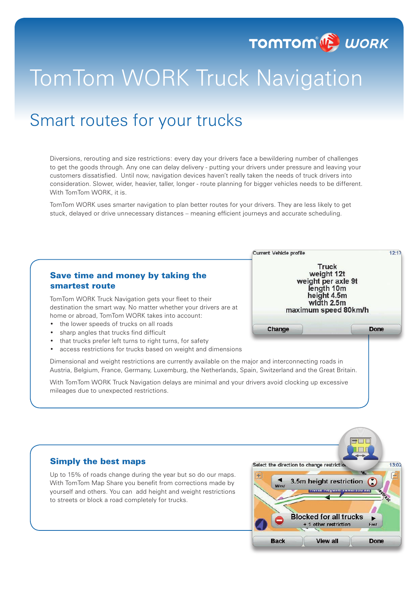

# TomTom WORK Truck Navigation

## Smart routes for your trucks

Diversions, rerouting and size restrictions: every day your drivers face a bewildering number of challenges to get the goods through. Any one can delay delivery - putting your drivers under pressure and leaving your customers dissatisfied. Until now, navigation devices haven't really taken the needs of truck drivers into consideration. Slower, wider, heavier, taller, longer - route planning for bigger vehicles needs to be different. With TomTom WORK, it is.

TomTom WORK uses smarter navigation to plan better routes for your drivers. They are less likely to get stuck, delayed or drive unnecessary distances – meaning efficient journeys and accurate scheduling.

#### Current Vehicle profile  $12 - 17$ **Truck** weight 12t Save time and money by taking the weight per axle 9t smartest route length 10m<br>height 4.5m TomTom WORK Truck Navigation gets your fleet to their width 2.5m destination the smart way. No matter whether your drivers are at maximum speed 80km/h home or abroad, TomTom WORK takes into account: the lower speeds of trucks on all roads Change **Done** sharp angles that trucks find difficult that trucks prefer left turns to right turns, for safety access restrictions for trucks based on weight and dimensions Dimensional and weight restrictions are currently available on the major and interconnecting roads in Austria, Belgium, France, Germany, Luxemburg, the Netherlands, Spain, Switzerland and the Great Britain. With TomTom WORK Truck Navigation delays are minimal and your drivers avoid clocking up excessive mileages due to unexpected restrictions. Simply the best maps  $13:02$ Select the direction to change restriction Up to 15% of roads change during the year but so do our maps.  $\frac{1}{2}$ Œ 3.5m height restriction With TomTom Map Share you benefit from corrections made by yourself and others. You can add height and weight restrictions to streets or block a road completely for trucks.